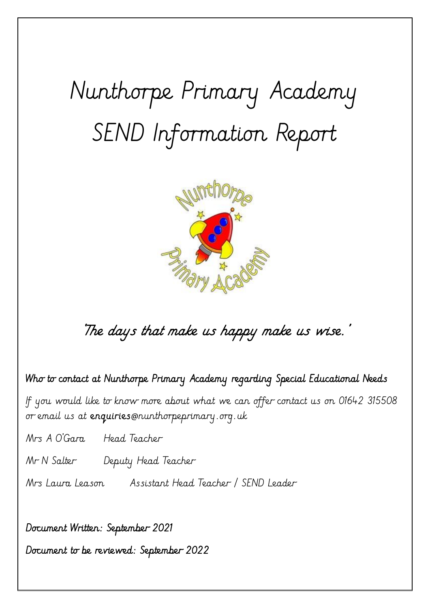# Nunthorpe Primary Academy SEND Information Report



# 'The days that make us happy make us wise.'

## Who to contact at Nunthorpe Primary Academy regarding Special Educational Needs

If you would like to know more about what we can offer contact us on 01642 315508 or email us at **enquiries**@nunthorpeprimary.org.uk

Mrs A O'Gara Head Teacher

Mr N Salter Deputy Head Teacher

Mrs Laura Leason Assistant Head Teacher / SEND Leader

Document Written: September 2021

Document to be reviewed: September 2022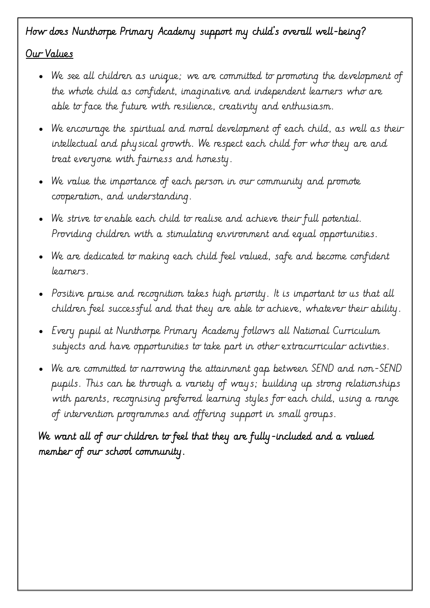# How does Nunthorpe Primary Academy support my child's overall well-being?

#### Our Values

- We see all children as unique; we are committed to promoting the development of the whole child as confident, imaginative and independent learners who are able to face the future with resilience, creativity and enthusiasm.
- We encourage the spiritual and moral development of each child, as well as their intellectual and physical growth. We respect each child for who they are and treat everyone with fairness and honesty.
- We value the importance of each person in our community and promote cooperation, and understanding.
- We strive to enable each child to realise and achieve their full potential. Providing children with a stimulating environment and equal opportunities.
- We are dedicated to making each child feel valued, safe and become confident learners.
- Positive praise and recognition takes high priority. It is important to us that all children feel successful and that they are able to achieve, whatever their ability.
- Every pupil at Nunthorpe Primary Academy follows all National Curriculum subjects and have opportunities to take part in other extracurricular activities.
- We are committed to narrowing the attainment gap between SEND and non-SEND pupils. This can be through a variety of ways; building up strong relationships with parents, recognising preferred learning styles for each child, using a range of intervention programmes and offering support in small groups.

We want all of our children to feel that they are fully-included and a valued member of our school community.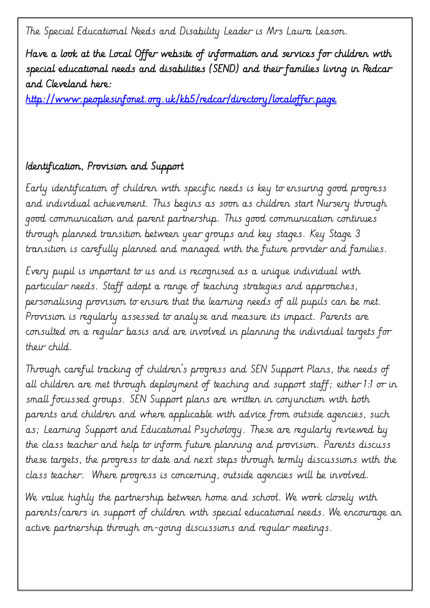The Special Educational Needs and Disability Leader is Mrs Laura Leason.

Have a look at the Local Offer website of information and services for children with special educational needs and disabilities (SEND) and their families living in Redcar and Cleveland here:

<http://www.peoplesinfonet.org.uk/kb5/redcar/directory/localoffer.page>

#### Identification, Provision and Support

Early identification of children with specific needs is key to ensuring good progress and individual achievement. This begins as soon as children start Nursery through good communication and parent partnership. This good communication continues through planned transition between year groups and key stages. Key Stage 3 transition is carefully planned and managed with the future provider and families.

Every pupil is important to us and is recognised as a unique individual with particular needs. Staff adopt a range of teaching strategies and approaches, personalising provision to ensure that the learning needs of all pupils can be met. Provision is regularly assessed to analyse and measure its impact. Parents are consulted on a regular basis and are involved in planning the individual targets for their child.

Through careful tracking of children's progress and SEN Support Plans, the needs of all children are met through deployment of teaching and support staff; either 1:1 or in small focussed groups. SEN Support plans are written in conjunction with both parents and children and where applicable with advice from outside agencies, such as; Learning Support and Educational Psychology. These are regularly reviewed by the class teacher and help to inform future planning and provision. Parents discuss these targets, the progress to date and next steps through termly discussions with the class teacher. Where progress is concerning, outside agencies will be involved.

We value highly the partnership between home and school. We work closely with parents/carers in support of children with special educational needs. We encourage an active partnership through on-going discussions and regular meetings.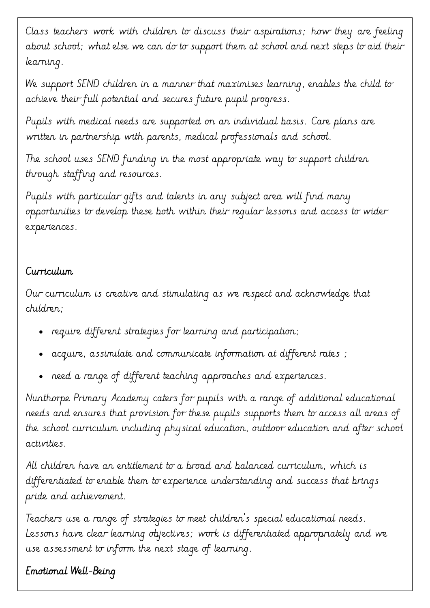Class teachers work with children to discuss their aspirations; how they are feeling about school; what else we can do to support them at school and next steps to aid their learning.

We support SEND children in a manner that maximises learning, enables the child to achieve their full potential and secures future pupil progress.

Pupils with medical needs are supported on an individual basis. Care plans are written in partnership with parents, medical professionals and school.

The school uses SEND funding in the most appropriate way to support children through staffing and resources.

Pupils with particular gifts and talents in any subject area will find many opportunities to develop these both within their regular lessons and access to wider experiences.

#### Curriculum

Our curriculum is creative and stimulating as we respect and acknowledge that children;

- require different strategies for learning and participation;
- acquire, assimilate and communicate information at different rates ;
- need a range of different teaching approaches and experiences.

Nunthorpe Primary Academy caters for pupils with a range of additional educational needs and ensures that provision for these pupils supports them to access all areas of the school curriculum including physical education, outdoor education and after school activities.

All children have an entitlement to a broad and balanced curriculum, which is differentiated to enable them to experience understanding and success that brings pride and achievement.

Teachers use a range of strategies to meet children's special educational needs. Lessons have clear learning objectives; work is differentiated appropriately and we use assessment to inform the next stage of learning.

# Emotional Well-Being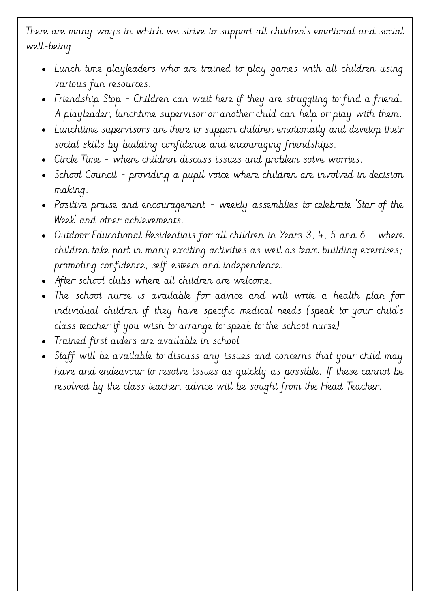There are many ways in which we strive to support all children's emotional and social well-being.

- Lunch time playleaders who are trained to play games with all children using various fun resources.
- Friendship Stop Children can wait here if they are struggling to find a friend. A playleader, lunchtime supervisor or another child can help or play with them.
- Lunchtime supervisors are there to support children emotionally and develop their social skills by building confidence and encouraging friendships.
- Circle Time where children discuss issues and problem solve worries.
- School Council providing a pupil voice where children are involved in decision making.
- Positive praise and encouragement weekly assemblies to celebrate 'Star of the Week' and other achievements.
- Outdoor Educational Residentials for all children in Years 3, 4, 5 and 6 where children take part in many exciting activities as well as team building exercises; promoting confidence, self-esteem and independence.
- After school clubs where all children are welcome.
- The school nurse is available for advice and will write a health plan for individual children if they have specific medical needs (speak to your child's class teacher if you wish to arrange to speak to the school nurse)
- Trained first aiders are available in school
- Staff will be available to discuss any issues and concerns that your child may have and endeavour to resolve issues as quickly as possible. If these cannot be resolved by the class teacher, advice will be sought from the Head Teacher.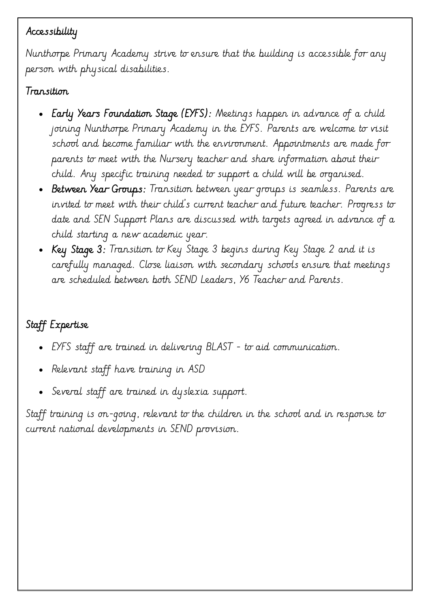#### Accessibility

Nunthorpe Primary Academy strive to ensure that the building is accessible for any person with physical disabilities.

#### Transition

- Early Years Foundation Stage (EYFS): Meetings happen in advance of a child joining Nunthorpe Primary Academy in the EYFS. Parents are welcome to visit school and become familiar with the environment. Appointments are made for parents to meet with the Nursery teacher and share information about their child. Any specific training needed to support a child will be organised.
- Between Year Groups: Transition between year groups is seamless. Parents are invited to meet with their child's current teacher and future teacher. Progress to date and SEN Support Plans are discussed with targets agreed in advance of a child starting a new academic year.
- Key Stage 3: Transition to Key Stage 3 begins during Key Stage 2 and it is carefully managed. Close liaison with secondary schools ensure that meetings are scheduled between both SEND Leaders, Y6 Teacher and Parents.

# Staff Expertise

- EYFS staff are trained in delivering BLAST to aid communication.
- Relevant staff have training in ASD
- Several staff are trained in dyslexia support.

Staff training is on-going, relevant to the children in the school and in response to current national developments in SEND provision.